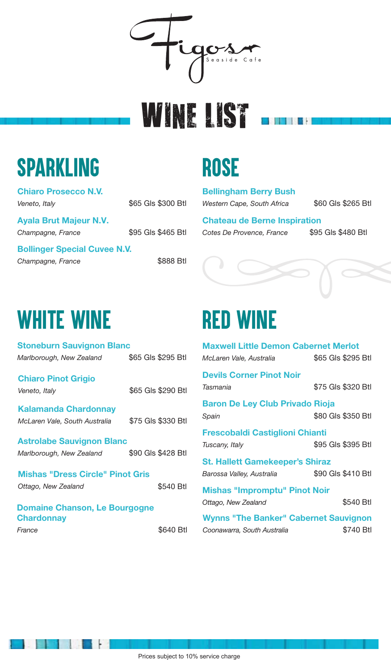

WINE LIST

# *Sparkling*

## *Rose*

Bellingham Berry Bush *Western Cape, South Africa* \$60 Gls \$265 Btl

Chateau de Berne Inspiration *Cotes De Provence, France* \$95 Gls \$480 Btl

 $\mathbf{r}$ 

| <b>Chiaro Prosecco N.V.</b>   |                    |
|-------------------------------|--------------------|
| Veneto, Italy                 | \$65 Gls \$300 Btl |
| <b>Ayala Brut Majeur N.V.</b> |                    |
| Champagne, France             | \$95 Gls \$465 Btl |
|                               |                    |

Bollinger Special Cuvee N.V.

*Champagne, France* \$888 Btl

## *White Wine*

| <b>Stoneburn Sauvignon Blanc</b>                          |  |                    |  |
|-----------------------------------------------------------|--|--------------------|--|
| Marlborough, New Zealand                                  |  | \$65 Gls \$295 Btl |  |
| <b>Chiaro Pinot Grigio</b>                                |  |                    |  |
| Veneto, Italy                                             |  | \$65 Gls \$290 Btl |  |
| <b>Kalamanda Chardonnay</b>                               |  |                    |  |
| McLaren Vale, South Australia                             |  | \$75 Gls \$330 Btl |  |
| <b>Astrolabe Sauvignon Blanc</b>                          |  |                    |  |
| Marlborough, New Zealand                                  |  | \$90 Gls \$428 Btl |  |
| <b>Mishas "Dress Circle" Pinot Gris</b>                   |  |                    |  |
| Ottago, New Zealand                                       |  | \$540 Btl          |  |
| <b>Domaine Chanson, Le Bourgogne</b><br><b>Chardonnay</b> |  |                    |  |
| France                                                    |  | \$640 Btl          |  |

# *Red Wine*

|                                              | <b>Maxwell Little Demon Cabernet Merlot</b> |                    |  |
|----------------------------------------------|---------------------------------------------|--------------------|--|
|                                              | McLaren Vale, Australia                     | \$65 Gls \$295 Btl |  |
|                                              | <b>Devils Corner Pinot Noir</b>             |                    |  |
|                                              | Tasmania                                    | \$75 Gls \$320 Btl |  |
|                                              | <b>Baron De Ley Club Privado Rioja</b>      |                    |  |
|                                              | Spain                                       | \$80 Gls \$350 Btl |  |
|                                              | <b>Frescobaldi Castiglioni Chianti</b>      |                    |  |
|                                              | Tuscany, Italy                              | \$95 Gls \$395 Btl |  |
|                                              | <b>St. Hallett Gamekeeper's Shiraz</b>      |                    |  |
|                                              | Barossa Valley, Australia                   | \$90 Gls \$410 Btl |  |
|                                              | <b>Mishas "Impromptu" Pinot Noir</b>        |                    |  |
|                                              | Ottago, New Zealand                         | \$540 Btl          |  |
| <b>Wynns "The Banker" Cabernet Sauvignon</b> |                                             |                    |  |
|                                              |                                             |                    |  |

*Coonawarra, South Australia* \$740 Btl